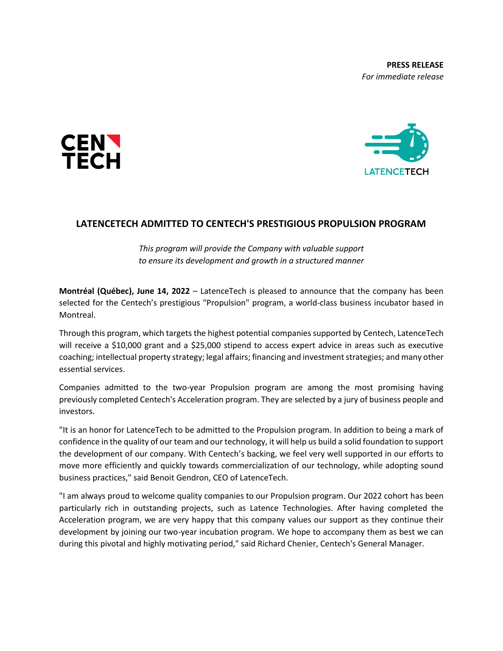**PRESS RELEASE** *For immediate release*





## **LATENCETECH ADMITTED TO CENTECH'S PRESTIGIOUS PROPULSION PROGRAM**

*This program will provide the Company with valuable support to ensure its development and growth in a structured manner*

**Montréal (Québec), June 14, 2022** – LatenceTech is pleased to announce that the company has been selected for the Centech's prestigious "Propulsion" program, a world-class business incubator based in Montreal.

Through this program, which targets the highest potential companies supported by Centech, LatenceTech will receive a \$10,000 grant and a \$25,000 stipend to access expert advice in areas such as executive coaching; intellectual property strategy; legal affairs; financing and investment strategies; and many other essential services.

Companies admitted to the two-year Propulsion program are among the most promising having previously completed Centech's Acceleration program. They are selected by a jury of business people and investors.

"It is an honor for LatenceTech to be admitted to the Propulsion program. In addition to being a mark of confidence in the quality of our team and our technology, it will help us build a solid foundation to support the development of our company. With Centech's backing, we feel very well supported in our efforts to move more efficiently and quickly towards commercialization of our technology, while adopting sound business practices," said Benoit Gendron, CEO of LatenceTech.

"I am always proud to welcome quality companies to our Propulsion program. Our 2022 cohort has been particularly rich in outstanding projects, such as Latence Technologies. After having completed the Acceleration program, we are very happy that this company values our support as they continue their development by joining our two-year incubation program. We hope to accompany them as best we can during this pivotal and highly motivating period," said Richard Chenier, Centech's General Manager.